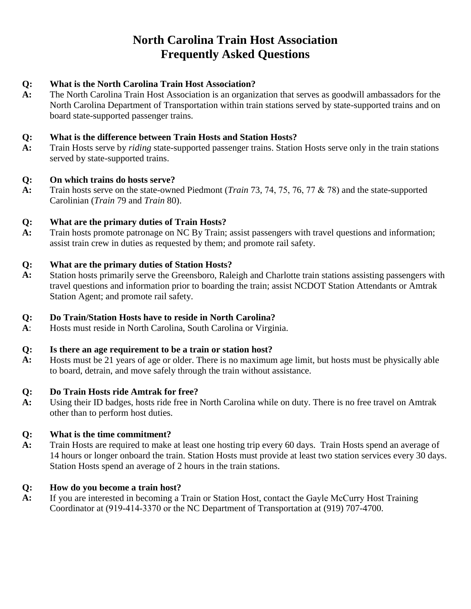# **North Carolina Train Host Association Frequently Asked Questions**

#### **Q: What is the North Carolina Train Host Association?**

**A:** The North Carolina Train Host Association is an organization that serves as goodwill ambassadors for the North Carolina Department of Transportation within train stations served by state-supported trains and on board state-supported passenger trains.

#### **Q: What is the difference between Train Hosts and Station Hosts?**

**A:** Train Hosts serve by *riding* state-supported passenger trains. Station Hosts serve only in the train stations served by state-supported trains.

#### **Q: On which trains do hosts serve?**

**A:** Train hosts serve on the state-owned Piedmont (*Train* 73, 74, 75, 76, 77 & 78) and the state-supported Carolinian (*Train* 79 and *Train* 80).

#### **Q: What are the primary duties of Train Hosts?**

**A:** Train hosts promote patronage on NC By Train; assist passengers with travel questions and information; assist train crew in duties as requested by them; and promote rail safety.

#### **Q: What are the primary duties of Station Hosts?**

**A:** Station hosts primarily serve the Greensboro, Raleigh and Charlotte train stations assisting passengers with travel questions and information prior to boarding the train; assist NCDOT Station Attendants or Amtrak Station Agent; and promote rail safety.

#### **Q: Do Train/Station Hosts have to reside in North Carolina?**

**A**: Hosts must reside in North Carolina, South Carolina or Virginia.

#### **Q: Is there an age requirement to be a train or station host?**

**A:** Hosts must be 21 years of age or older. There is no maximum age limit, but hosts must be physically able to board, detrain, and move safely through the train without assistance.

#### **Q: Do Train Hosts ride Amtrak for free?**

**A:** Using their ID badges, hosts ride free in North Carolina while on duty. There is no free travel on Amtrak other than to perform host duties.

#### **Q: What is the time commitment?**

**A:** Train Hosts are required to make at least one hosting trip every 60 days. Train Hosts spend an average of 14 hours or longer onboard the train. Station Hosts must provide at least two station services every 30 days. Station Hosts spend an average of 2 hours in the train stations.

#### **Q: How do you become a train host?**

**A:** If you are interested in becoming a Train or Station Host, contact the Gayle McCurry Host Training Coordinator at (919-414-3370 or the NC Department of Transportation at (919) 707-4700.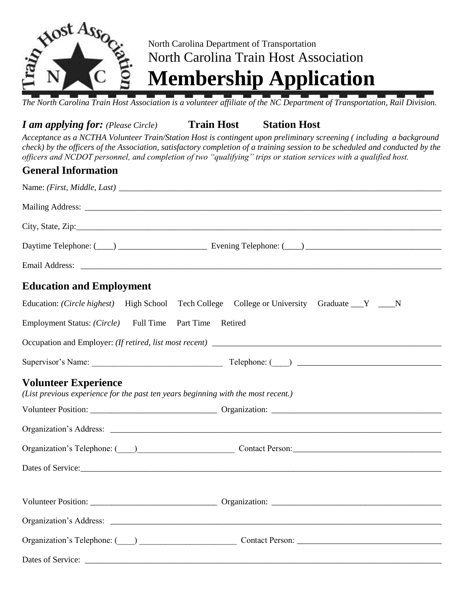

# North Carolina Department of Transportation North Carolina Train Host Association

**Membership Application**

*The North Carolina Train Host Association is a volunteer affiliate of the NC Department of Transportation, Rail Division.* 

### *I am applying for: (Please Circle)* **Train Host Station Host**

*Acceptance as a NCTHA Volunteer Train/Station Host is contingent upon preliminary screening ( including a background check) by the officers of the Association, satisfactory completion of a training session to be scheduled and conducted by the officers and NCDOT personnel, and completion of two "qualifying" trips or station services with a qualified host.*

### **General Information**

| Daytime Telephone: (Comparison contract and Daytime Telephone: (Comparison contract and Daytime Telephone: (Comparison contract and Daytime Telephone: (Comparison contract and Daytime Telephone: (Comparison contract and Da |
|--------------------------------------------------------------------------------------------------------------------------------------------------------------------------------------------------------------------------------|
|                                                                                                                                                                                                                                |
| <b>Education and Employment</b>                                                                                                                                                                                                |
| Education: (Circle highest) High School Tech College College or University Graduate Y __ N                                                                                                                                     |
| Employment Status: (Circle) Full Time Part Time Retired                                                                                                                                                                        |
|                                                                                                                                                                                                                                |
|                                                                                                                                                                                                                                |
| <b>Volunteer Experience</b><br>(List previous experience for the past ten years beginning with the most recent.)                                                                                                               |
|                                                                                                                                                                                                                                |
|                                                                                                                                                                                                                                |
| Organization's Telephone: ( ) Contact Person: Contact Design: 2014                                                                                                                                                             |
|                                                                                                                                                                                                                                |
|                                                                                                                                                                                                                                |
|                                                                                                                                                                                                                                |
| Organization's Telephone: (California Contact Person: Contact Person: Contact Person: Contact Person: Contact Person: Contact Person: Contact Person: Contact Person: Contact Person: Contact Person: Contact Person: Contact  |
|                                                                                                                                                                                                                                |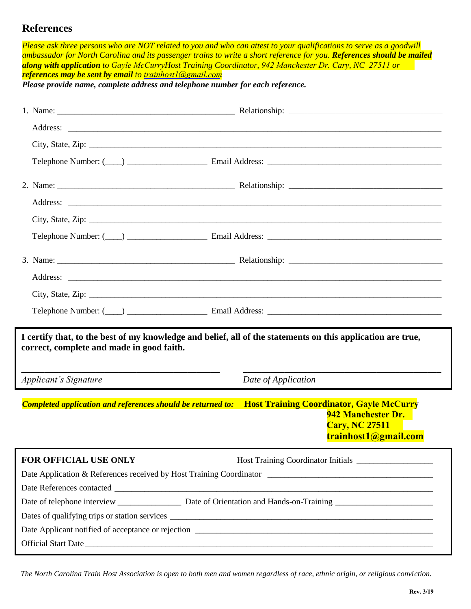### **References**

| Please ask three persons who are NOT related to you and who can attest to your qualifications to serve as a goodwill<br>ambassador for North Carolina and its passenger trains to write a short reference for you. References should be mailed<br>along with application to Gayle McCurryHost Training Coordinator, 942 Manchester Dr. Cary, NC 27511 or<br><b>references may be sent by email</b> to trainhost l@gmail.com |                                                                                                                                                                                                                                |  |  |  |  |
|-----------------------------------------------------------------------------------------------------------------------------------------------------------------------------------------------------------------------------------------------------------------------------------------------------------------------------------------------------------------------------------------------------------------------------|--------------------------------------------------------------------------------------------------------------------------------------------------------------------------------------------------------------------------------|--|--|--|--|
| Please provide name, complete address and telephone number for each reference.                                                                                                                                                                                                                                                                                                                                              |                                                                                                                                                                                                                                |  |  |  |  |
|                                                                                                                                                                                                                                                                                                                                                                                                                             |                                                                                                                                                                                                                                |  |  |  |  |
|                                                                                                                                                                                                                                                                                                                                                                                                                             |                                                                                                                                                                                                                                |  |  |  |  |
|                                                                                                                                                                                                                                                                                                                                                                                                                             |                                                                                                                                                                                                                                |  |  |  |  |
|                                                                                                                                                                                                                                                                                                                                                                                                                             |                                                                                                                                                                                                                                |  |  |  |  |
|                                                                                                                                                                                                                                                                                                                                                                                                                             | Telephone Number: (Comparison comparison comparison comparison comparison comparison comparison comparison comparison comparison comparison comparison comparison comparison comparison comparison comparison comparison compa |  |  |  |  |
|                                                                                                                                                                                                                                                                                                                                                                                                                             |                                                                                                                                                                                                                                |  |  |  |  |
|                                                                                                                                                                                                                                                                                                                                                                                                                             |                                                                                                                                                                                                                                |  |  |  |  |
|                                                                                                                                                                                                                                                                                                                                                                                                                             |                                                                                                                                                                                                                                |  |  |  |  |
|                                                                                                                                                                                                                                                                                                                                                                                                                             |                                                                                                                                                                                                                                |  |  |  |  |
|                                                                                                                                                                                                                                                                                                                                                                                                                             |                                                                                                                                                                                                                                |  |  |  |  |
|                                                                                                                                                                                                                                                                                                                                                                                                                             |                                                                                                                                                                                                                                |  |  |  |  |
|                                                                                                                                                                                                                                                                                                                                                                                                                             |                                                                                                                                                                                                                                |  |  |  |  |
|                                                                                                                                                                                                                                                                                                                                                                                                                             |                                                                                                                                                                                                                                |  |  |  |  |
|                                                                                                                                                                                                                                                                                                                                                                                                                             | Telephone Number: (Comparison comparison comparison comparison comparison comparison comparison comparison comparison comparison comparison comparison comparison comparison comparison comparison comparison comparison compa |  |  |  |  |
| correct, complete and made in good faith.                                                                                                                                                                                                                                                                                                                                                                                   | I certify that, to the best of my knowledge and belief, all of the statements on this application are true,                                                                                                                    |  |  |  |  |
| <b>Applicant's Signature</b>                                                                                                                                                                                                                                                                                                                                                                                                | Date of Application                                                                                                                                                                                                            |  |  |  |  |
|                                                                                                                                                                                                                                                                                                                                                                                                                             | Completed application and references should be returned to: Host Training Coordinator, Gayle McCurry<br>942 Manchester Dr.<br><b>Cary, NC 27511</b><br>trainhost1@gmail.com                                                    |  |  |  |  |
| FOR OFFICIAL USE ONLY                                                                                                                                                                                                                                                                                                                                                                                                       |                                                                                                                                                                                                                                |  |  |  |  |
|                                                                                                                                                                                                                                                                                                                                                                                                                             |                                                                                                                                                                                                                                |  |  |  |  |
|                                                                                                                                                                                                                                                                                                                                                                                                                             |                                                                                                                                                                                                                                |  |  |  |  |
|                                                                                                                                                                                                                                                                                                                                                                                                                             |                                                                                                                                                                                                                                |  |  |  |  |
|                                                                                                                                                                                                                                                                                                                                                                                                                             |                                                                                                                                                                                                                                |  |  |  |  |
|                                                                                                                                                                                                                                                                                                                                                                                                                             |                                                                                                                                                                                                                                |  |  |  |  |
|                                                                                                                                                                                                                                                                                                                                                                                                                             | Official Start Date                                                                                                                                                                                                            |  |  |  |  |

*The North Carolina Train Host Association is open to both men and women regardless of race, ethnic origin, or religious conviction.*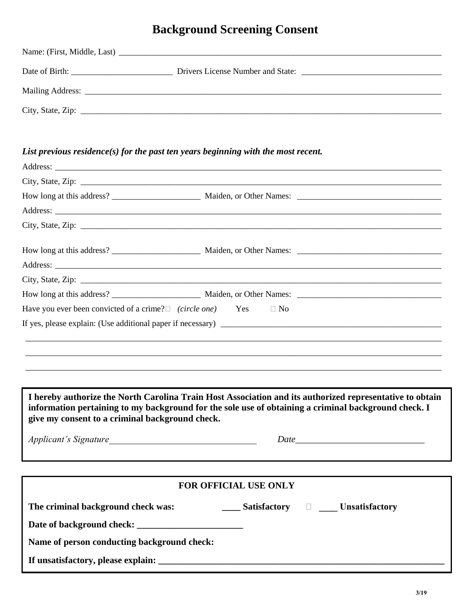## **Background Screening Consent**

### *List previous residence(s) for the past ten years beginning with the most recent.*

|                                                                            | City, State, Zip: $\overline{\phantom{a}}$                                                                                                                                                                       |
|----------------------------------------------------------------------------|------------------------------------------------------------------------------------------------------------------------------------------------------------------------------------------------------------------|
|                                                                            |                                                                                                                                                                                                                  |
| Have you ever been convicted of a crime? $\Box$ (circle one) Yes $\Box$ No |                                                                                                                                                                                                                  |
|                                                                            |                                                                                                                                                                                                                  |
|                                                                            |                                                                                                                                                                                                                  |
|                                                                            |                                                                                                                                                                                                                  |
|                                                                            |                                                                                                                                                                                                                  |
|                                                                            | I hereby authorize the North Carolina Train Host Association and its authorized representative to obtain<br>information pertaining to my background for the sole use of obtaining a criminal background check. I |

**give my consent to a criminal background check.**

*Applicant's Signature* 

# **FOR OFFICIAL USE ONLY** The criminal background check was: \_\_\_\_\_\_\_\_\_\_ Satisfactory  $\Box$  \_\_\_\_\_ Unsatisfactory **Date of background check: \_\_\_\_\_\_\_\_\_\_\_\_\_\_\_\_\_\_\_\_\_\_\_ Name of person conducting background check: If unsatisfactory, please explain: \_\_\_\_\_\_\_\_\_\_\_\_\_\_\_\_\_\_\_\_\_\_\_\_\_\_\_\_\_\_\_\_\_\_\_\_\_\_\_\_\_\_\_\_\_\_\_\_\_\_\_\_\_\_\_\_\_\_\_\_\_\_**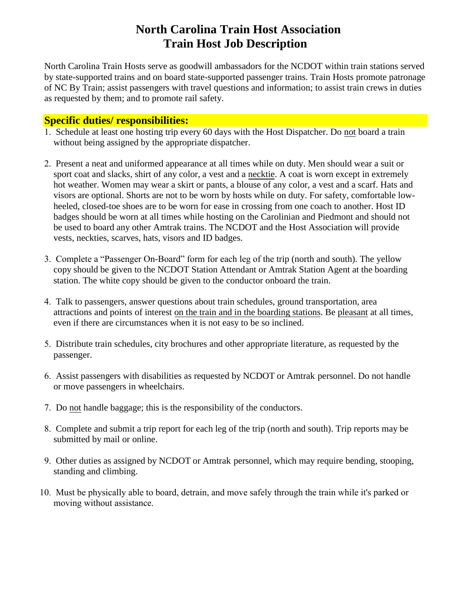## **North Carolina Train Host Association Train Host Job Description**

North Carolina Train Hosts serve as goodwill ambassadors for the NCDOT within train stations served by state-supported trains and on board state-supported passenger trains. Train Hosts promote patronage of NC By Train; assist passengers with travel questions and information; to assist train crews in duties as requested by them; and to promote rail safety.

### **Specific duties/ responsibilities:**

- 1. Schedule at least one hosting trip every 60 days with the Host Dispatcher. Do not board a train without being assigned by the appropriate dispatcher.
- 2. Present a neat and uniformed appearance at all times while on duty. Men should wear a suit or sport coat and slacks, shirt of any color, a vest and a necktie. A coat is worn except in extremely hot weather. Women may wear a skirt or pants, a blouse of any color, a vest and a scarf. Hats and visors are optional. Shorts are not to be worn by hosts while on duty. For safety, comfortable lowheeled, closed-toe shoes are to be worn for ease in crossing from one coach to another. Host ID badges should be worn at all times while hosting on the Carolinian and Piedmont and should not be used to board any other Amtrak trains. The NCDOT and the Host Association will provide vests, neckties, scarves, hats, visors and ID badges.
- 3. Complete a "Passenger On-Board" form for each leg of the trip (north and south). The yellow copy should be given to the NCDOT Station Attendant or Amtrak Station Agent at the boarding station. The white copy should be given to the conductor onboard the train.
- 4. Talk to passengers, answer questions about train schedules, ground transportation, area attractions and points of interest on the train and in the boarding stations. Be pleasant at all times, even if there are circumstances when it is not easy to be so inclined.
- 5. Distribute train schedules, city brochures and other appropriate literature, as requested by the passenger.
- 6. Assist passengers with disabilities as requested by NCDOT or Amtrak personnel. Do not handle or move passengers in wheelchairs.
- 7. Do not handle baggage; this is the responsibility of the conductors.
- 8. Complete and submit a trip report for each leg of the trip (north and south). Trip reports may be submitted by mail or online.
- 9. Other duties as assigned by NCDOT or Amtrak personnel, which may require bending, stooping, standing and climbing.
- 10. Must be physically able to board, detrain, and move safely through the train while it's parked or moving without assistance.